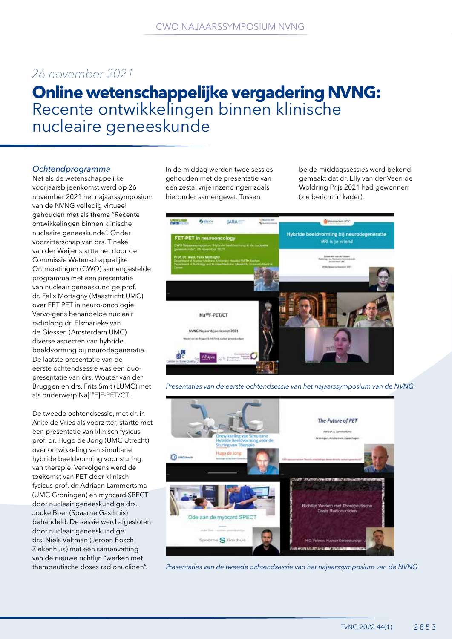# *26 november 2021*

# **Online wetenschappelijke vergadering NVNG:**  Recente ontwikkelingen binnen klinische nucleaire geneeskunde

# *Ochtendprogramma*

Net als de wetenschappelijke voorjaarsbijeenkomst werd op 26 november 2021 het najaarssymposium van de NVNG volledig virtueel gehouden met als thema "Recente ontwikkelingen binnen klinische nucleaire geneeskunde". Onder voorzitterschap van drs. Tineke van der Weijer startte het door de Commissie Wetenschappelijke Ontmoetingen (CWO) samengestelde programma met een presentatie van nucleair geneeskundige prof. dr. Felix Mottaghy (Maastricht UMC) over FET PET in neuro-oncologie. Vervolgens behandelde nucleair radioloog dr. Elsmarieke van de Giessen (Amsterdam UMC) diverse aspecten van hybride beeldvorming bij neurodegeneratie. De laatste presentatie van de eerste ochtendsessie was een duopresentatie van drs. Wouter van der Bruggen en drs. Frits Smit (LUMC) met als onderwerp Na[18F]F-PET/CT.

De tweede ochtendsessie, met dr. ir. Anke de Vries als voorzitter, startte met een presentatie van klinisch fysicus prof. dr. Hugo de Jong (UMC Utrecht) over ontwikkeling van simultane hybride beeldvorming voor sturing van therapie. Vervolgens werd de toekomst van PET door klinisch fysicus prof. dr. Adriaan Lammertsma (UMC Groningen) en myocard SPECT door nucleair geneeskundige drs. Jouke Boer (Spaarne Gasthuis) behandeld. De sessie werd afgesloten door nucleair geneeskundige drs. Niels Veltman (Jeroen Bosch Ziekenhuis) met een samenvatting van de nieuwe richtlijn "werken met therapeutische doses radionucliden".

In de middag werden twee sessies gehouden met de presentatie van een zestal vrije inzendingen zoals hieronder samengevat. Tussen

beide middagssessies werd bekend gemaakt dat dr. Elly van der Veen de Woldring Prijs 2021 had gewonnen (zie bericht in kader).



*Presentaties van de eerste ochtendsessie van het najaarssymposium van de NVNG*



*Presentaties van de tweede ochtendsessie van het najaarssymposium van de NVNG*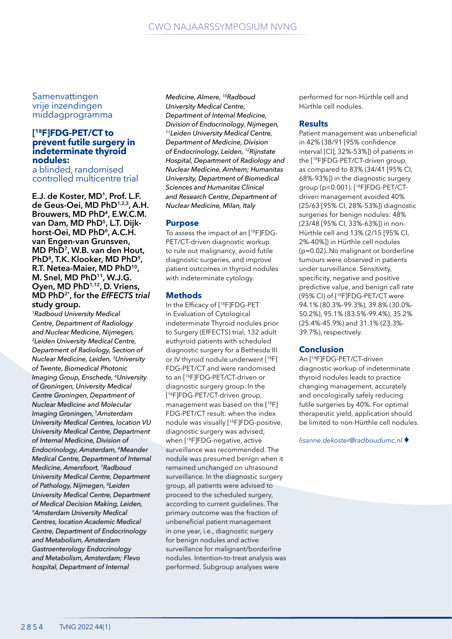Samenvattingen vrije inzendingen middagprogramma

### **[ 18F]FDG-PET/CT to prevent futile surgery in indeterminate thyroid nodules:**

a blinded, randomised controlled multicentre trial

**E.J. de Koster, MD1, Prof. L.F. de Geus-Oei, MD PhD1,2,3, A.H.**  Brouwers, MD PhD<sup>4</sup>, E.W.C.M. **van Dam, MD PhD5, L.T. Dijk**horst-Oei, MD PhD<sup>6</sup>, A.C.H. **van Engen-van Grunsven, MD PhD7, W.B. van den Hout, PhD8, T.K. Klooker, MD PhD9, R.T. Netea-Maier, MD PhD10, M. Snel, MD PhD11, W.J.G. Oyen, MD PhD1,12, D. Vriens, MD PhD2\*, for the** *EfFECTS trial* **study group.**

*1Radboud University Medical Centre, Department of Radiology and Nuclear Medicine, Nijmegen, 2Leiden University Medical Centre, Department of Radiology, Section of Nuclear Medicine, Leiden, 3University of Twente, Biomedical Photonic Imaging Group, Enschede, 4University of Groningen, University Medical Centre Groningen, Department of Nuclear Medicine and Molecular Imaging Groningen, 5Amsterdam University Medical Centres, location VU University Medical Centre, Department of Internal Medicine, Division of Endocrinology, Amsterdam, 6Meander Medical Centre, Department of Internal Medicine, Amersfoort, 7Radboud University Medical Centre, Department of Pathology, Nijmegen, 8Leiden University Medical Centre, Department of Medical Decision Making, Leiden, 9Amsterdam University Medical Centres, location Academic Medical Centre, Department of Endocrinology and Metabolism, Amsterdam Gastroenterology Endocrinology and Metabolism, Amsterdam; Flevo hospital, Department of Internal* 

*Medicine, Almere, 10Radboud University Medical Centre, Department of Internal Medicine, Division of Endocrinology, Nijmegen, 11Leiden University Medical Centre, Department of Medicine, Division of Endocrinology, Leiden, 12Rijnstate Hospital, Department of Radiology and Nuclear Medicine, Arnhem; Humanitas University, Department of Biomedical Sciences and Humanitas Clinical and Research Centre, Department of Nuclear Medicine, Milan, Italy*

#### **Purpose**

To assess the impact of an [18F]FDG-PET/CT-driven diagnostic workup to rule out malignancy, avoid futile diagnostic surgeries, and improve patient outcomes in thyroid nodules with indeterminate cytology.

#### **Methods**

In the Efficacy of [18F]FDG-PET in Evaluation of Cytological indeterminate Thyroid nodules prior to Surgery (EfFECTS) trial, 132 adult euthyroid patients with scheduled diagnostic surgery for a Bethesda III or IV thyroid nodule underwent [18F] FDG-PET/CT and were randomised to an [18F]FDG-PET/CT-driven or diagnostic surgery group. In the [ 18F]FDG-PET/CT-driven group, management was based on the [18F] FDG-PET/CT result: when the index nodule was visually [18F]FDG-positive, diagnostic surgery was advised; when [18F]FDG-negative, active surveillance was recommended. The nodule was presumed benign when it remained unchanged on ultrasound surveillance. In the diagnostic surgery group, all patients were advised to proceed to the scheduled surgery, according to current guidelines. The primary outcome was the fraction of unbeneficial patient management in one year, i.e., diagnostic surgery for benign nodules and active surveillance for malignant/borderline nodules. Intention-to-treat analysis was performed. Subgroup analyses were

performed for non-Hürthle cell and Hürthle cell nodules.

#### **Results**

Patient management was unbeneficial in 42% (38/91 [95% confidence interval [CI], 32%-53%]) of patients in the [18F]FDG-PET/CT-driven group, as compared to 83% (34/41 [95% CI, 68%-93%]) in the diagnostic surgery group (p<0.001). [18F]FDG-PET/CTdriven management avoided 40% (25/63 [95% CI, 28%-53%]) diagnostic surgeries for benign nodules: 48% (23/48 [95% CI, 33%-63%]) in non-Hürthle cell and 13% (2/15 [95% CI, 2%-40%]) in Hürthle cell nodules (p=0.02). No malignant or borderline tumours were observed in patients under surveillance. Sensitivity, specificity, negative and positive predictive value, and benign call rate (95% CI) of [18F]FDG-PET/CT were 94.1% (80.3%-99.3%), 39.8% (30.0%- 50.2%), 95.1% (83.5%-99.4%), 35.2% (25.4%-45.9%) and 31.1% (23.3%- 39.7%), respectively.

#### **Conclusion**

An [18F]FDG-PET/CT-driven diagnostic workup of indeterminate thyroid nodules leads to practice changing management, accurately and oncologically safely reducing futile surgeries by 40%. For optimal therapeutic yield, application should be limited to non-Hürthle cell nodules.

*lisanne.dekoster@radboudumc.nl* ♦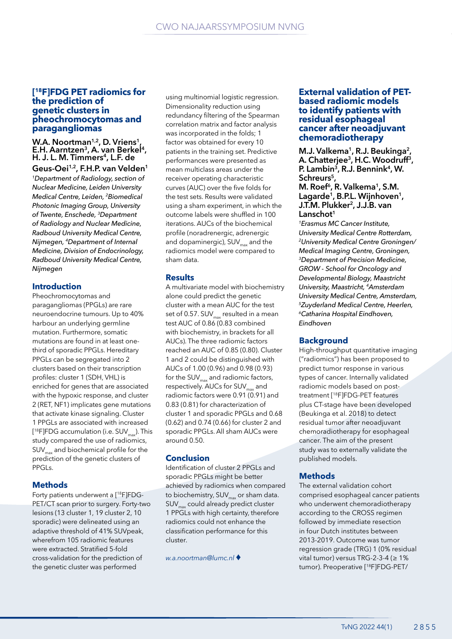#### **[ 18F]FDG PET radiomics for the prediction of genetic clusters in pheochromocytomas and paragangliomas**

# **W.A. Noortman1,2, D. Vriens1, E.H. Aarntzen3, A. van Berkel4, H. J. L. M. Timmers4, L.F. de Geus-Oei1,2, F.H.P. van Velden1**

*1Department of Radiology, section of Nuclear Medicine, Leiden University Medical Centre, Leiden, 2Biomedical Photonic Imaging Group, University of Twente, Enschede, 3Department of Radiology and Nuclear Medicine, Radboud University Medical Centre, Nijmegen, 4Department of Internal Medicine, Division of Endocrinology, Radboud University Medical Centre, Nijmegen*

#### **Introduction**

Pheochromocytomas and paragangliomas (PPGLs) are rare neuroendocrine tumours. Up to 40% harbour an underlying germline mutation. Furthermore, somatic mutations are found in at least onethird of sporadic PPGLs. Hereditary PPGLs can be segregated into 2 clusters based on their transcription profiles: cluster 1 (SDH, VHL) is enriched for genes that are associated with the hypoxic response, and cluster 2 (RET, NF1) implicates gene mutations that activate kinase signaling. Cluster 1 PPGLs are associated with increased [<sup>18</sup>F]FDG accumulation (i.e. SUV<sub>max</sub>). This study compared the use of radiomics,  $\mathsf{SUV}_{\text{max}}$  and biochemical profile for the prediction of the genetic clusters of PPGLs.

#### **Methods**

Forty patients underwent a [18F]FDG-PET/CT scan prior to surgery. Forty-two lesions (13 cluster 1, 19 cluster 2, 10 sporadic) were delineated using an adaptive threshold of 41% SUVpeak, wherefrom 105 radiomic features were extracted. Stratified 5-fold cross-validation for the prediction of the genetic cluster was performed

using multinomial logistic regression. Dimensionality reduction using redundancy filtering of the Spearman correlation matrix and factor analysis was incorporated in the folds; 1 factor was obtained for every 10 patients in the training set. Predictive performances were presented as mean multiclass areas under the receiver operating characteristic curves (AUC) over the five folds for the test sets. Results were validated using a sham experiment, in which the outcome labels were shuffled in 100 iterations. AUCs of the biochemical profile (noradrenergic, adrenergic and dopaminergic),  $SUV_{max}$  and the radiomics model were compared to sham data.

#### **Results**

A multivariate model with biochemistry alone could predict the genetic cluster with a mean AUC for the test set of 0.57.  $SUV_{\text{max}}$  resulted in a mean test AUC of 0.86 (0.83 combined with biochemistry, in brackets for all AUCs). The three radiomic factors reached an AUC of 0.85 (0.80). Cluster 1 and 2 could be distinguished with AUCs of 1.00 (0.96) and 0.98 (0.93) for the  $SUV_{max}$  and radiomic factors, respectively. AUCs for SUV<sub>m</sub> and radiomic factors were 0.91 (0.91) and 0.83 (0.81) for characterization of cluster 1 and sporadic PPGLs and 0.68 (0.62) and 0.74 (0.66) for cluster 2 and sporadic PPGLs. All sham AUCs were around 0.50.

#### **Conclusion**

Identification of cluster 2 PPGLs and sporadic PPGLs might be better achieved by radiomics when compared to biochemistry,  $SUV_{\text{max}}$  or sham data.  $SUV_{\text{max}}$  could already predict cluster 1 PPGLs with high certainty, therefore radiomics could not enhance the classification performance for this cluster.

*w.a.noortman@lumc.nl* ♦

#### **External validation of PETbased radiomic models to identify patients with residual esophageal cancer after neoadjuvant chemoradiotherapy**

**M.J. Valkema<sup>1</sup>, R.J. Beukinga2, A. Chatterjee3, H.C. Woodruff3, P. Lambin3, R.J. Bennink4, W. Schreurs5, M. Roef6, R. Valkema1, S.M.**  Lagarde<sup>1</sup>, B.P.L. Wijnhoven<sup>1</sup>, **J.T.M. Plukker2, J.J.B. van**  Lanschot<sup>1</sup>

*1Erasmus MC Cancer Institute, University Medical Centre Rotterdam, 2University Medical Centre Groningen/ Medical Imaging Centre, Groningen, 3Department of Precision Medicine, GROW - School for Oncology and Developmental Biology, Maastricht University, Maastricht, 4Amsterdam University Medical Centre, Amsterdam, 5Zuyderland Medical Centre, Heerlen, 6Catharina Hospital Eindhoven, Eindhoven*

#### **Background**

High-throughput quantitative imaging ("radiomics") has been proposed to predict tumor response in various types of cancer. Internally validated radiomic models based on posttreatment [18F]FDG-PET features plus CT-stage have been developed (Beukinga et al. 2018) to detect residual tumor after neoadjuvant chemoradiotherapy for esophageal cancer. The aim of the present study was to externally validate the published models.

#### **Methods**

The external validation cohort comprised esophageal cancer patients who underwent chemoradiotherapy according to the CROSS regimen followed by immediate resection in four Dutch institutes between 2013-2019. Outcome was tumor regression grade (TRG) 1 (0% residual vital tumor) versus TRG-2-3-4 ( $\geq 1\%$ tumor). Preoperative [18F]FDG-PET/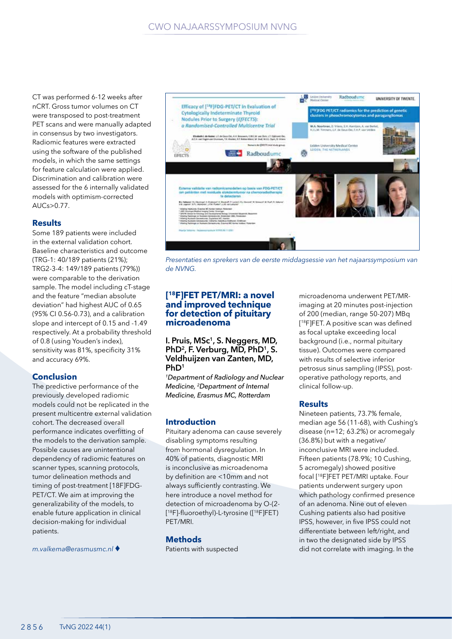CT was performed 6-12 weeks after nCRT. Gross tumor volumes on CT were transposed to post-treatment PET scans and were manually adapted in consensus by two investigators. Radiomic features were extracted using the software of the published models, in which the same settings for feature calculation were applied. Discrimination and calibration were assessed for the 6 internally validated models with optimism-corrected AUCs>0.77.

#### **Results**

Some 189 patients were included in the external validation cohort. Baseline characteristics and outcome (TRG-1: 40/189 patients (21%); TRG2-3-4: 149/189 patients (79%)) were comparable to the derivation sample. The model including cT-stage and the feature "median absolute deviation" had highest AUC of 0.65 (95% CI 0.56-0.73), and a calibration slope and intercept of 0.15 and -1.49 respectively. At a probability threshold of 0.8 (using Youden's index), sensitivity was 81%, specificity 31% and accuracy 69%.

# **Conclusion**

The predictive performance of the previously developed radiomic models could not be replicated in the present multicentre external validation cohort. The decreased overall performance indicates overfitting of the models to the derivation sample. Possible causes are unintentional dependency of radiomic features on scanner types, scanning protocols, tumor delineation methods and timing of post-treatment [18F]FDG-PET/CT. We aim at improving the generalizability of the models, to enable future application in clinical decision-making for individual patients.

*m.valkema@erasmusmc.nl* ♦



*Presentaties en sprekers van de eerste middagsessie van het najaarssymposium van de NVNG.*

#### **[ 18F]FET PET/MRI: a novel and improved technique for detection of pituitary microadenoma**

**I. Pruis, MSc1, S. Neggers, MD,**  PhD<sup>2</sup>, F. Verburg, MD, PhD<sup>1</sup>, S. **Veldhuijzen van Zanten, MD, PhD1**

*1Department of Radiology and Nuclear Medicine, 2Department of Internal Medicine, Erasmus MC, Rotterdam*

#### **Introduction**

Pituitary adenoma can cause severely disabling symptoms resulting from hormonal dysregulation. In 40% of patients, diagnostic MRI is inconclusive as microadenoma by definition are <10mm and not always sufficiently contrasting. We here introduce a novel method for detection of microadenoma by O-(2- [ <sup>18</sup>F]-fluoroethyl)-L-tyrosine ([18F]FET) PET/MRI.

#### **Methods**

Patients with suspected

microadenoma underwent PET/MRimaging at 20 minutes post-injection of 200 (median, range 50-207) MBq [ <sup>18</sup>F]FET. A positive scan was defined as focal uptake exceeding local background (i.e., normal pituitary tissue). Outcomes were compared with results of selective inferior petrosus sinus sampling (IPSS), postoperative pathology reports, and clinical follow-up.

#### **Results**

Nineteen patients, 73.7% female, median age 56 (11-68), with Cushing's disease (n=12; 63.2%) or acromegaly (36.8%) but with a negative/ inconclusive MRI were included. Fifteen patients (78.9%; 10 Cushing, 5 acromegaly) showed positive focal [18F]FET PET/MRI uptake. Four patients underwent surgery upon which pathology confirmed presence of an adenoma. Nine out of eleven Cushing patients also had positive IPSS, however, in five IPSS could not differentiate between left/right, and in two the designated side by IPSS did not correlate with imaging. In the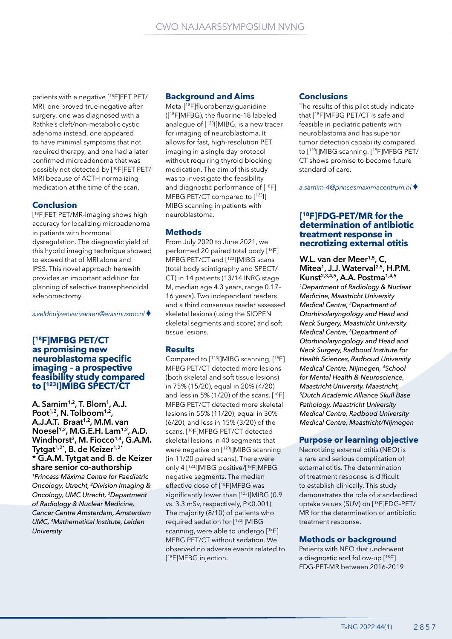patients with a negative [18F]FET PET/ MRI, one proved true-negative after surgery, one was diagnosed with a Rathke's cleft/non-metabolic cystic adenoma instead, one appeared to have minimal symptoms that not required therapy, and one had a later confirmed microadenoma that was possibly not detected by [18F]FET PET/ MRI because of ACTH normalizing medication at the time of the scan.

### **Conclusion**

[ 18F]FET PET/MR-imaging shows high accuracy for localizing microadenoma in patients with hormonal dysregulation. The diagnostic yield of this hybrid imaging technique showed to exceed that of MRI alone and IPSS. This novel approach herewith provides an important addition for planning of selective transsphenoidal adenomectomy.

*s.veldhuijzenvanzanten@erasmusmc.nl* ♦

#### **[ 18F]MFBG PET/CT as promising new neuroblastoma specific imaging – a prospective feasibility study compared to [123I]MIBG SPECT/CT**

**A. Samim1,2, T. Blom1, A.J. Poot1,2, N. Tolboom1,2, A.J.A.T. Braat1,2, M.M. van Noesel1,2, M.G.E.H. Lam1,2, A.D.**  Windhorst<sup>3</sup>, M. Fiocco<sup>1,4</sup>, G.A.M. **Tytgat1,2\*, B. de Keizer1,2\* \* G.A.M. Tytgat and B. de Keizer share senior co-authorship** *1Princess Máxima Centre for Paediatric Oncology, Utrecht, 2Division Imaging & Oncology, UMC Utrecht, 3Department of Radiology & Nuclear Medicine, Cancer Centre Amsterdam, Amsterdam UMC, 4Mathematical Institute, Leiden University*

#### **Background and Aims**

Meta-[18F]fluorobenzylguanidine ([18F]MFBG), the fluorine-18 labeled analogue of [123I]MIBG, is a new tracer for imaging of neuroblastoma. It allows for fast, high-resolution PET imaging in a single day protocol without requiring thyroid blocking medication. The aim of this study was to investigate the feasibility and diagnostic performance of [18F] MFBG PET/CT compared to [123]] MIBG scanning in patients with neuroblastoma.

# **Methods**

From July 2020 to June 2021, we performed 20 paired total body [18F] MFBG PET/CT and [123I]MIBG scans (total body scintigraphy and SPECT/ CT) in 14 patients (13/14 INRG stage M, median age 4.3 years, range 0.17– 16 years). Two independent readers and a third consensus reader assessed skeletal lesions (using the SIOPEN skeletal segments and score) and soft tissue lesions.

# **Results**

Compared to [123I]MIBG scanning, [18F] MFBG PET/CT detected more lesions (both skeletal and soft tissue lesions) in 75% (15/20), equal in 20% (4/20) and less in 5% (1/20) of the scans. [18F] MFBG PET/CT detected more skeletal lesions in 55% (11/20), equal in 30% (6/20), and less in 15% (3/20) of the scans. [18F]MFBG PET/CT detected skeletal lesions in 40 segments that were negative on [<sup>123</sup>] MIBG scanning (in 11/20 paired scans). There were only 4 [123I]MIBG positive/[18F]MFBG negative segments. The median effective dose of [18F]MFBG was significantly lower than [123I]MIBG (0.9 vs. 3.3 mSv, respectively, P<0.001). The majority (8/10) of patients who required sedation for [123I]MIBG scanning, were able to undergo [<sup>18</sup>F] MFBG PET/CT without sedation. We observed no adverse events related to [ 18F]MFBG injection.

### **Conclusions**

The results of this pilot study indicate that [18F]MFBG PET/CT is safe and feasible in pediatric patients with neuroblastoma and has superior tumor detection capability compared to [123I]MIBG scanning. [18F]MFBG PET/ CT shows promise to become future standard of care.

*a.samim-4@prinsesmaximacentrum.nl* ♦

### **[ 18F]FDG-PET/MR for the determination of antibiotic treatment response in necrotizing external otitis**

**W.L. van der Meer1,5, C, Mitea1, J.J. Waterval2,5, H.P.M. Kunst2,3,4,5, A.A. Postma1,4,5**

*1Department of Radiology & Nuclear Medicine, Maastricht University Medical Centre, 2Department of Otorhinolaryngology and Head and Neck Surgery, Maastricht University Medical Centre, 3Department of Otorhinolaryngology and Head and Neck Surgery, Radboud Institute for Health Sciences, Radboud University Medical Centre, Nijmegen, 4School for Mental Health & Neuroscience, Maastricht University, Maastricht, 5Dutch Academic Alliance Skull Base Pathology, Maastricht University Medical Centre, Radboud University Medical Centre, Maastricht/Nijmegen*

# **Purpose or learning objective**

Necrotizing external otitis (NEO) is a rare and serious complication of external otitis. The determination of treatment response is difficult to establish clinically. This study demonstrates the role of standardized uptake values (SUV) on [18F]FDG-PET/ MR for the determination of antibiotic treatment response.

# **Methods or background**

Patients with NEO that underwent a diagnostic and follow-up [18F] FDG-PET-MR between 2016-2019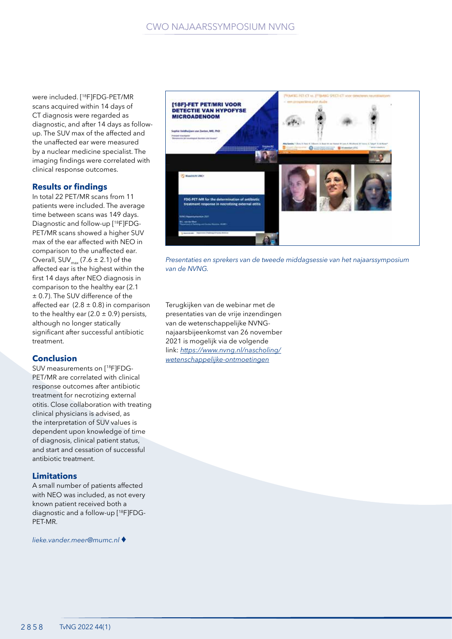were included. [18F]FDG-PET/MR scans acquired within 14 days of CT diagnosis were regarded as diagnostic, and after 14 days as followup. The SUV max of the affected and the unaffected ear were measured by a nuclear medicine specialist. The imaging findings were correlated with clinical response outcomes.

### **Results or findings**

In total 22 PET/MR scans from 11 patients were included. The average time between scans was 149 days. Diagnostic and follow-up [18F]FDG-PET/MR scans showed a higher SUV max of the ear affected with NEO in comparison to the unaffected ear. Overall,  $SUV_{max}$  (7.6  $\pm$  2.1) of the affected ear is the highest within the first 14 days after NEO diagnosis in comparison to the healthy ear (2.1 ± 0.7). The SUV difference of the affected ear  $(2.8 \pm 0.8)$  in comparison to the healthy ear (2.0  $\pm$  0.9) persists, although no longer statically significant after successful antibiotic treatment.

# **Conclusion**

SUV measurements on [18F]FDG-PET/MR are correlated with clinical response outcomes after antibiotic treatment for necrotizing external otitis. Close collaboration with treating clinical physicians is advised, as the interpretation of SUV values is dependent upon knowledge of time of diagnosis, clinical patient status, and start and cessation of successful antibiotic treatment.

# **Limitations**

A small number of patients affected with NEO was included, as not every known patient received both a diagnostic and a follow-up [18F]FDG-PET-MR.

*lieke.vander.meer@mumc.nl* ♦



*Presentaties en sprekers van de tweede middagsessie van het najaarssymposium van de NVNG.*

Terugkijken van de webinar met de presentaties van de vrije inzendingen van de wetenschappelijke NVNGnajaarsbijeenkomst van 26 november 2021 is mogelijk via de volgende link: *https://www.nvng.nl/nascholing/ wetenschappelijke-ontmoetingen*